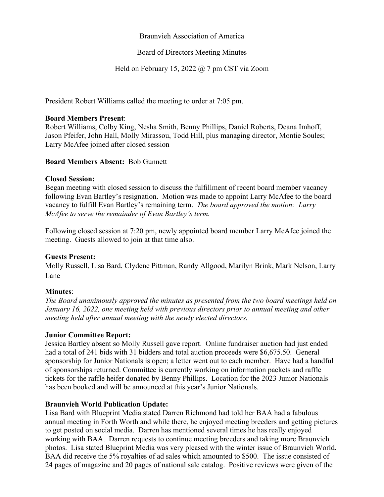### Braunvieh Association of America

### Board of Directors Meeting Minutes

# Held on February 15, 2022 @ 7 pm CST via Zoom

President Robert Williams called the meeting to order at 7:05 pm.

#### **Board Members Present**:

Robert Williams, Colby King, Nesha Smith, Benny Phillips, Daniel Roberts, Deana Imhoff, Jason Pfeifer, John Hall, Molly Mirassou, Todd Hill, plus managing director, Montie Soules; Larry McAfee joined after closed session

### **Board Members Absent:** Bob Gunnett

#### **Closed Session:**

Began meeting with closed session to discuss the fulfillment of recent board member vacancy following Evan Bartley's resignation. Motion was made to appoint Larry McAfee to the board vacancy to fulfill Evan Bartley's remaining term. *The board approved the motion: Larry McAfee to serve the remainder of Evan Bartley's term.*

Following closed session at 7:20 pm, newly appointed board member Larry McAfee joined the meeting. Guests allowed to join at that time also.

### **Guests Present:**

Molly Russell, Lisa Bard, Clydene Pittman, Randy Allgood, Marilyn Brink, Mark Nelson, Larry Lane

### **Minutes**:

*The Board unanimously approved the minutes as presented from the two board meetings held on January 16, 2022, one meeting held with previous directors prior to annual meeting and other meeting held after annual meeting with the newly elected directors.*

### **Junior Committee Report:**

Jessica Bartley absent so Molly Russell gave report. Online fundraiser auction had just ended – had a total of 241 bids with 31 bidders and total auction proceeds were \$6,675.50. General sponsorship for Junior Nationals is open; a letter went out to each member. Have had a handful of sponsorships returned. Committee is currently working on information packets and raffle tickets for the raffle heifer donated by Benny Phillips. Location for the 2023 Junior Nationals has been booked and will be announced at this year's Junior Nationals.

### **Braunvieh World Publication Update:**

Lisa Bard with Blueprint Media stated Darren Richmond had told her BAA had a fabulous annual meeting in Forth Worth and while there, he enjoyed meeting breeders and getting pictures to get posted on social media. Darren has mentioned several times he has really enjoyed working with BAA. Darren requests to continue meeting breeders and taking more Braunvieh photos. Lisa stated Blueprint Media was very pleased with the winter issue of Braunvieh World. BAA did receive the 5% royalties of ad sales which amounted to \$500. The issue consisted of 24 pages of magazine and 20 pages of national sale catalog. Positive reviews were given of the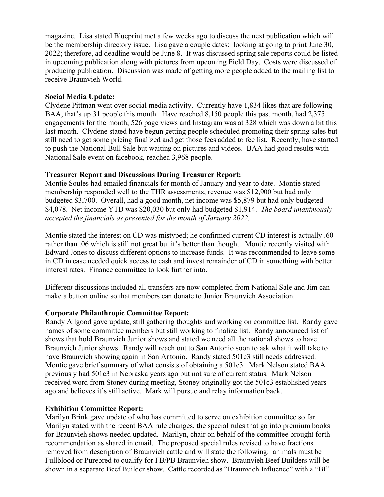magazine. Lisa stated Blueprint met a few weeks ago to discuss the next publication which will be the membership directory issue. Lisa gave a couple dates: looking at going to print June 30, 2022; therefore, ad deadline would be June 8. It was discussed spring sale reports could be listed in upcoming publication along with pictures from upcoming Field Day. Costs were discussed of producing publication. Discussion was made of getting more people added to the mailing list to receive Braunvieh World.

### **Social Media Update:**

Clydene Pittman went over social media activity. Currently have 1,834 likes that are following BAA, that's up 31 people this month. Have reached 8,150 people this past month, had 2,375 engagements for the month, 526 page views and Instagram was at 328 which was down a bit this last month. Clydene stated have begun getting people scheduled promoting their spring sales but still need to get some pricing finalized and get those fees added to fee list. Recently, have started to push the National Bull Sale but waiting on pictures and videos. BAA had good results with National Sale event on facebook, reached 3,968 people.

# **Treasurer Report and Discussions During Treasurer Report:**

Montie Soules had emailed financials for month of January and year to date. Montie stated membership responded well to the THR assessments, revenue was \$12,900 but had only budgeted \$3,700. Overall, had a good month, net income was \$5,879 but had only budgeted \$4,078. Net income YTD was \$20,030 but only had budgeted \$1,914. *The board unanimously accepted the financials as presented for the month of January 2022.*

Montie stated the interest on CD was mistyped; he confirmed current CD interest is actually .60 rather than .06 which is still not great but it's better than thought. Montie recently visited with Edward Jones to discuss different options to increase funds. It was recommended to leave some in CD in case needed quick access to cash and invest remainder of CD in something with better interest rates. Finance committee to look further into.

Different discussions included all transfers are now completed from National Sale and Jim can make a button online so that members can donate to Junior Braunvieh Association.

# **Corporate Philanthropic Committee Report:**

Randy Allgood gave update, still gathering thoughts and working on committee list. Randy gave names of some committee members but still working to finalize list. Randy announced list of shows that hold Braunvieh Junior shows and stated we need all the national shows to have Braunvieh Junior shows. Randy will reach out to San Antonio soon to ask what it will take to have Braunvieh showing again in San Antonio. Randy stated 501c3 still needs addressed. Montie gave brief summary of what consists of obtaining a 501c3. Mark Nelson stated BAA previously had 501c3 in Nebraska years ago but not sure of current status. Mark Nelson received word from Stoney during meeting, Stoney originally got the 501c3 established years ago and believes it's still active. Mark will pursue and relay information back.

### **Exhibition Committee Report:**

Marilyn Brink gave update of who has committed to serve on exhibition committee so far. Marilyn stated with the recent BAA rule changes, the special rules that go into premium books for Braunvieh shows needed updated. Marilyn, chair on behalf of the committee brought forth recommendation as shared in email. The proposed special rules revised to have fractions removed from description of Braunvieh cattle and will state the following: animals must be Fullblood or Purebred to qualify for FB/PB Braunvieh show. Braunvieh Beef Builders will be shown in a separate Beef Builder show. Cattle recorded as "Braunvieh Influence" with a "BI"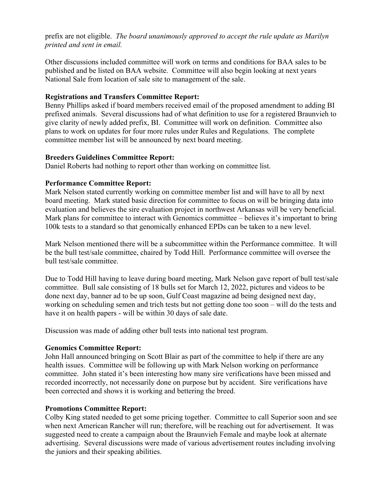prefix are not eligible. *The board unanimously approved to accept the rule update as Marilyn printed and sent in email.*

Other discussions included committee will work on terms and conditions for BAA sales to be published and be listed on BAA website. Committee will also begin looking at next years National Sale from location of sale site to management of the sale.

# **Registrations and Transfers Committee Report:**

Benny Phillips asked if board members received email of the proposed amendment to adding BI prefixed animals. Several discussions had of what definition to use for a registered Braunvieh to give clarity of newly added prefix, BI. Committee will work on definition. Committee also plans to work on updates for four more rules under Rules and Regulations. The complete committee member list will be announced by next board meeting.

# **Breeders Guidelines Committee Report:**

Daniel Roberts had nothing to report other than working on committee list.

# **Performance Committee Report:**

Mark Nelson stated currently working on committee member list and will have to all by next board meeting. Mark stated basic direction for committee to focus on will be bringing data into evaluation and believes the sire evaluation project in northwest Arkansas will be very beneficial. Mark plans for committee to interact with Genomics committee – believes it's important to bring 100k tests to a standard so that genomically enhanced EPDs can be taken to a new level.

Mark Nelson mentioned there will be a subcommittee within the Performance committee. It will be the bull test/sale committee, chaired by Todd Hill. Performance committee will oversee the bull test/sale committee.

Due to Todd Hill having to leave during board meeting, Mark Nelson gave report of bull test/sale committee. Bull sale consisting of 18 bulls set for March 12, 2022, pictures and videos to be done next day, banner ad to be up soon, Gulf Coast magazine ad being designed next day, working on scheduling semen and trich tests but not getting done too soon – will do the tests and have it on health papers - will be within 30 days of sale date.

Discussion was made of adding other bull tests into national test program.

# **Genomics Committee Report:**

John Hall announced bringing on Scott Blair as part of the committee to help if there are any health issues. Committee will be following up with Mark Nelson working on performance committee. John stated it's been interesting how many sire verifications have been missed and recorded incorrectly, not necessarily done on purpose but by accident. Sire verifications have been corrected and shows it is working and bettering the breed.

# **Promotions Committee Report:**

Colby King stated needed to get some pricing together. Committee to call Superior soon and see when next American Rancher will run; therefore, will be reaching out for advertisement. It was suggested need to create a campaign about the Braunvieh Female and maybe look at alternate advertising. Several discussions were made of various advertisement routes including involving the juniors and their speaking abilities.